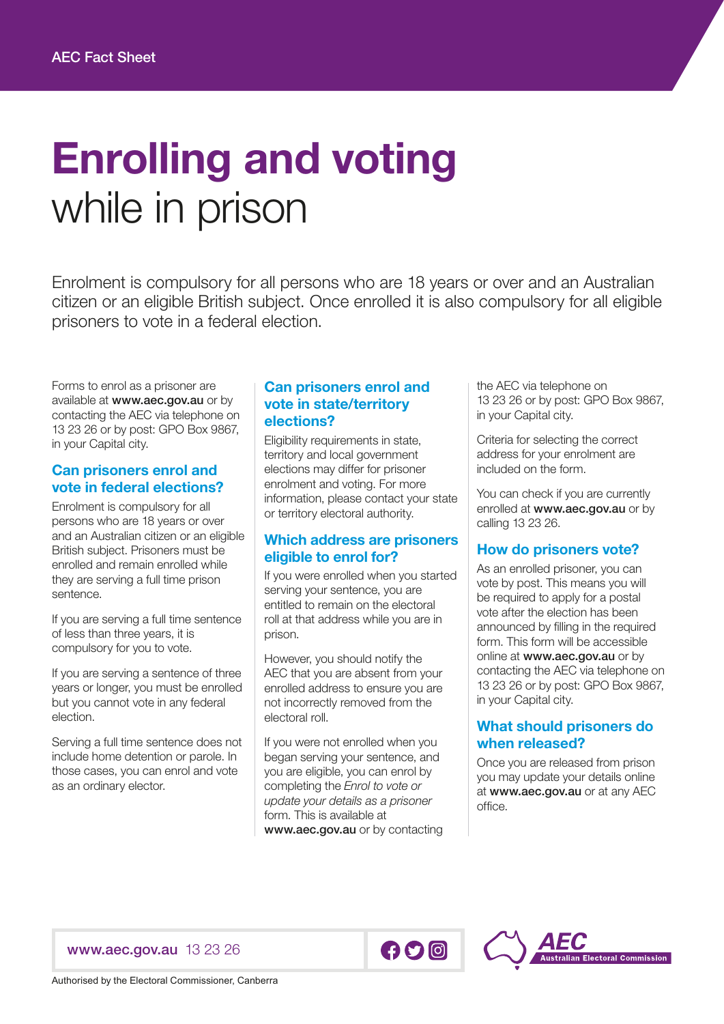# Enrolling and voting while in prison

Enrolment is compulsory for all persons who are 18 years or over and an Australian citizen or an eligible British subject. Once enrolled it is also compulsory for all eligible prisoners to vote in a federal election.

Forms to enrol as a prisoner are available at www.aec.gov.au or by contacting the AEC via telephone on 13 23 26 or by post: GPO Box 9867, in your Capital city.

#### Can prisoners enrol and vote in federal elections?

Enrolment is compulsory for all persons who are 18 years or over and an Australian citizen or an eligible British subject. Prisoners must be enrolled and remain enrolled while they are serving a full time prison sentence.

If you are serving a full time sentence of less than three years, it is compulsory for you to vote.

If you are serving a sentence of three years or longer, you must be enrolled but you cannot vote in any federal election.

Serving a full time sentence does not include home detention or parole. In those cases, you can enrol and vote as an ordinary elector.

## Can prisoners enrol and vote in state/territory elections?

Eligibility requirements in state, territory and local government elections may differ for prisoner enrolment and voting. For more information, please contact your state or territory electoral authority.

## Which address are prisoners eligible to enrol for?

If you were enrolled when you started serving your sentence, you are entitled to remain on the electoral roll at that address while you are in prison.

However, you should notify the AEC that you are absent from your enrolled address to ensure you are not incorrectly removed from the electoral roll.

If you were not enrolled when you began serving your sentence, and you are eligible, you can enrol by completing the *Enrol to vote or update your details as a prisoner* form. This is available at www.aec.gov.au or by contacting

the AEC via telephone on 13 23 26 or by post: GPO Box 9867, in your Capital city.

Criteria for selecting the correct address for your enrolment are included on the form.

You can check if you are currently enrolled at **www.aec.gov.au** or by calling 13 23 26.

# How do prisoners vote?

As an enrolled prisoner, you can vote by post. This means you will be required to apply for a postal vote after the election has been announced by filling in the required form. This form will be accessible online at www.aec.gov.au or by contacting the AEC via telephone on 13 23 26 or by post: GPO Box 9867, in your Capital city.

## What should prisoners do when released?

Once you are released from prison you may update your details online at www.aec.gov.au or at any AEC office.

### [www.aec.gov.au](http://www.aec.gov.au) 13 23 26